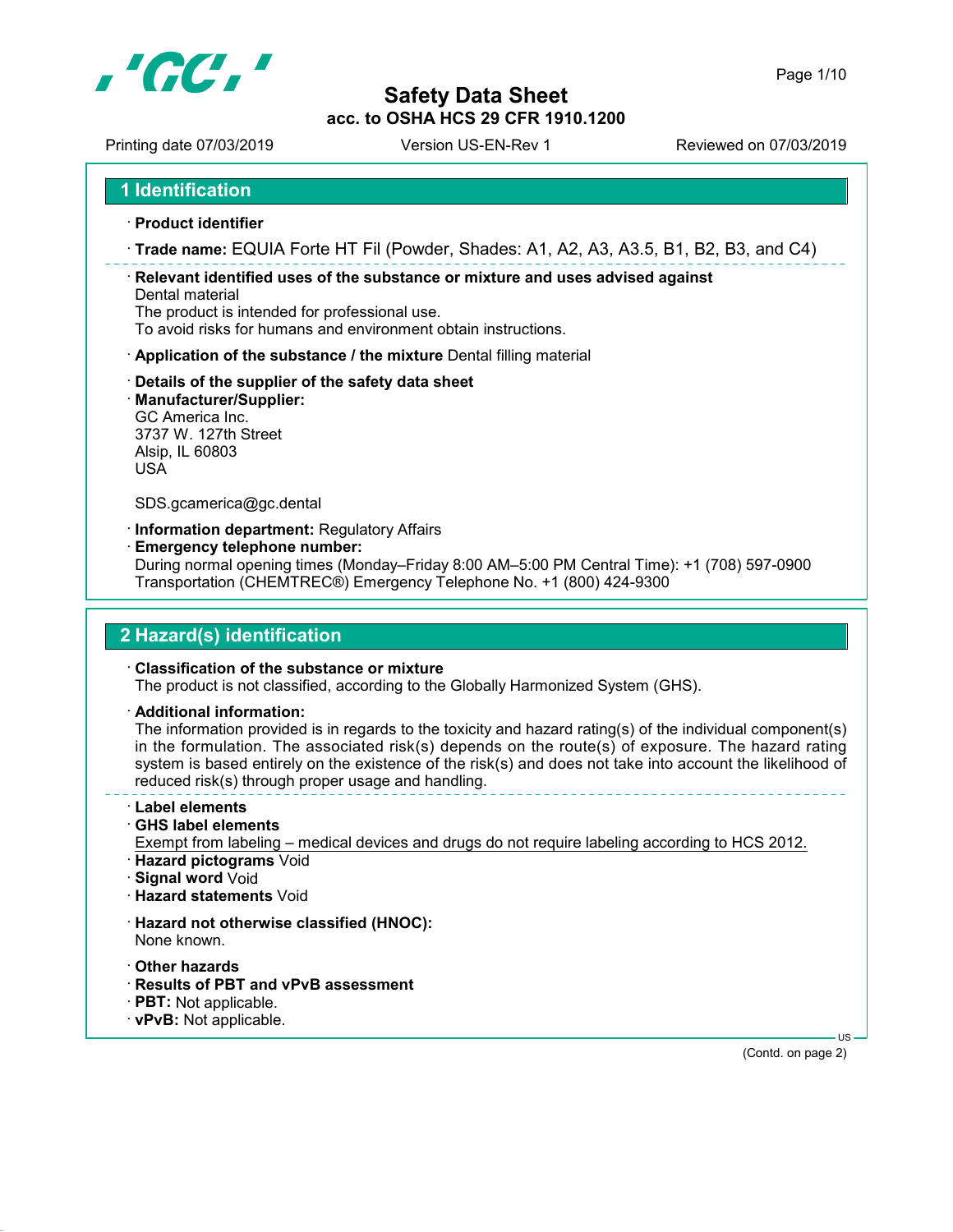

Printing date 07/03/2019 Version US-EN-Rev 1 Printing date 07/03/2019

1 Identification

- · Product identifier
- · Trade name: EQUIA Forte HT Fil (Powder, Shades: A1, A2, A3, A3.5, B1, B2, B3, and C4)

· Relevant identified uses of the substance or mixture and uses advised against Dental material

The product is intended for professional use.

To avoid risks for humans and environment obtain instructions.

- · Application of the substance / the mixture Dental filling material
- · Details of the supplier of the safety data sheet
- · Manufacturer/Supplier:

GC America Inc. 3737 W. 127th Street Alsip, IL 60803 USA

SDS.gcamerica@gc.dental

· Information department: Regulatory Affairs

· Emergency telephone number:

During normal opening times (Monday–Friday 8:00 AM–5:00 PM Central Time): +1 (708) 597-0900 Transportation (CHEMTREC®) Emergency Telephone No. +1 (800) 424-9300

## 2 Hazard(s) identification

#### · Classification of the substance or mixture

The product is not classified, according to the Globally Harmonized System (GHS).

· Additional information:

The information provided is in regards to the toxicity and hazard rating(s) of the individual component(s) in the formulation. The associated risk(s) depends on the route(s) of exposure. The hazard rating system is based entirely on the existence of the risk(s) and does not take into account the likelihood of reduced risk(s) through proper usage and handling.

- · Label elements
- · GHS label elements
- Exempt from labeling medical devices and drugs do not require labeling according to HCS 2012.
- · Hazard pictograms Void
- · Signal word Void
- · Hazard statements Void
- · Hazard not otherwise classified (HNOC): None known.
- · Other hazards
- · Results of PBT and vPvB assessment
- · PBT: Not applicable.
- · vPvB: Not applicable.

 US (Contd. on page 2)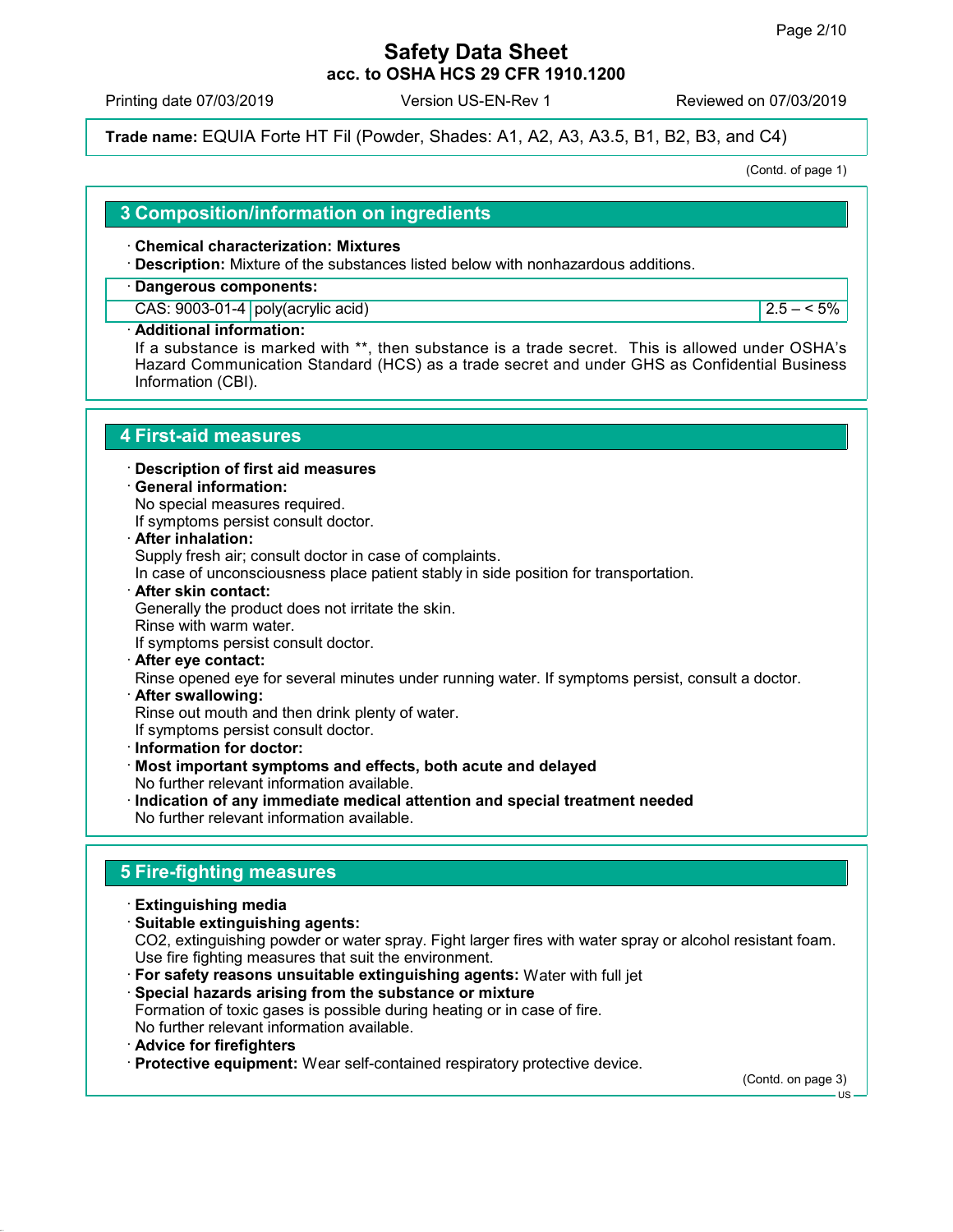Printing date 07/03/2019 Version US-EN-Rev 1 Reviewed on 07/03/2019

Trade name: EQUIA Forte HT Fil (Powder, Shades: A1, A2, A3, A3.5, B1, B2, B3, and C4)

(Contd. of page 1)

## 3 Composition/information on ingredients

#### · Chemical characterization: Mixtures

· Description: Mixture of the substances listed below with nonhazardous additions.

#### · Dangerous components:

CAS:  $9003-01-4$  poly(acrylic acid) 2.5 – < 5%

#### Additional information:

If a substance is marked with \*\*, then substance is a trade secret. This is allowed under OSHA's Hazard Communication Standard (HCS) as a trade secret and under GHS as Confidential Business Information (CBI).

## 4 First-aid measures

- · Description of first aid measures
- · General information:

No special measures required. If symptoms persist consult doctor.

After inhalation:

Supply fresh air; consult doctor in case of complaints.

In case of unconsciousness place patient stably in side position for transportation.

- · After skin contact: Generally the product does not irritate the skin. Rinse with warm water. If symptoms persist consult doctor.
- After eye contact: Rinse opened eye for several minutes under running water. If symptoms persist, consult a doctor.
- · After swallowing:
- Rinse out mouth and then drink plenty of water.
- If symptoms persist consult doctor.
- · Information for doctor:
- · Most important symptoms and effects, both acute and delayed No further relevant information available.
- · Indication of any immediate medical attention and special treatment needed No further relevant information available.

# 5 Fire-fighting measures

- · Extinguishing media
- · Suitable extinguishing agents: CO2, extinguishing powder or water spray. Fight larger fires with water spray or alcohol resistant foam. Use fire fighting measures that suit the environment.
- · For safety reasons unsuitable extinguishing agents: Water with full jet
- · Special hazards arising from the substance or mixture Formation of toxic gases is possible during heating or in case of fire. No further relevant information available.
- · Advice for firefighters
- · Protective equipment: Wear self-contained respiratory protective device.

(Contd. on page 3)

 $-11S$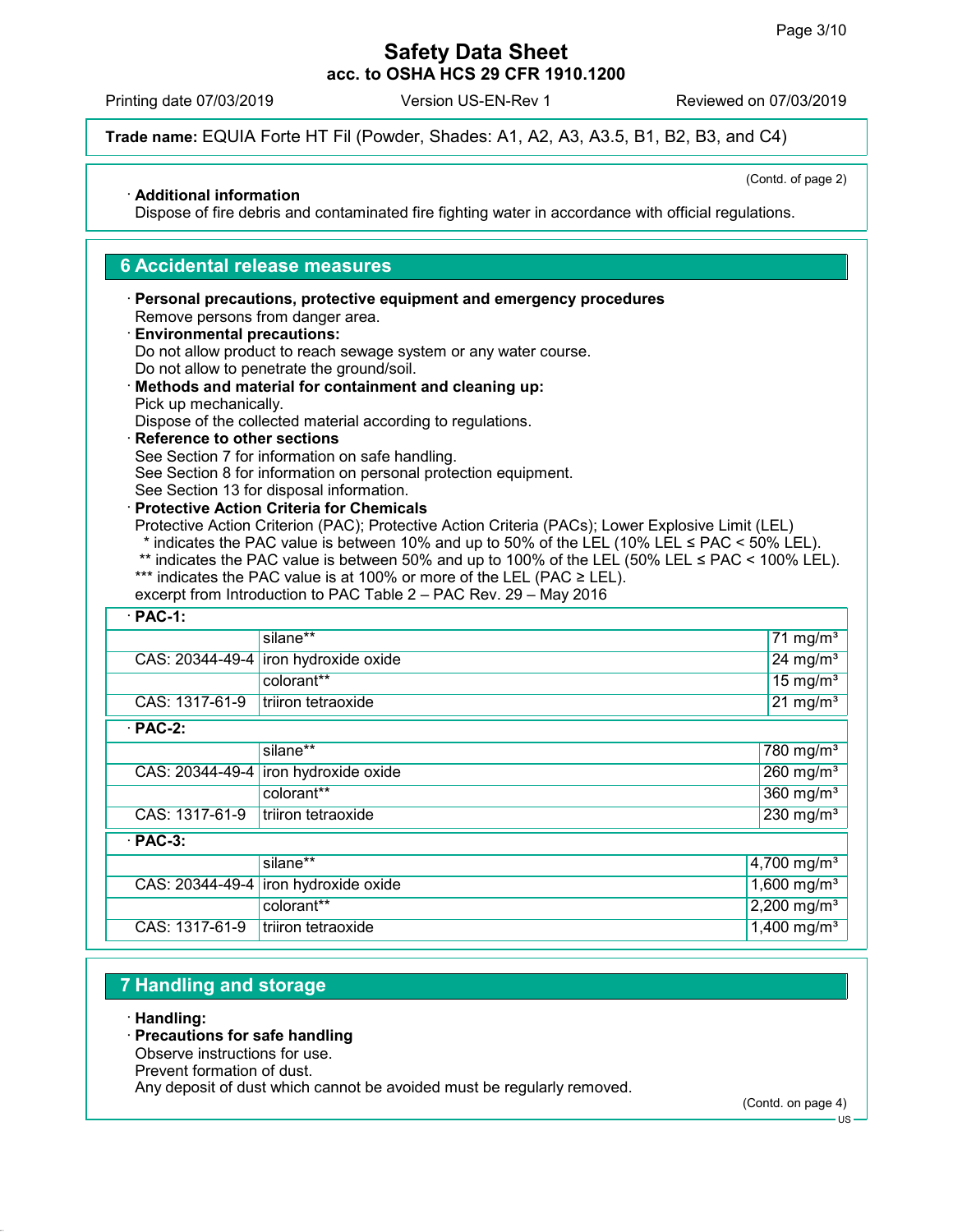Printing date 07/03/2019 Version US-EN-Rev 1 Reviewed on 07/03/2019

Trade name: EQUIA Forte HT Fil (Powder, Shades: A1, A2, A3, A3.5, B1, B2, B3, and C4)

(Contd. of page 2)

#### · Additional information

Dispose of fire debris and contaminated fire fighting water in accordance with official regulations.

## 6 Accidental release measures

#### · Personal precautions, protective equipment and emergency procedures Remove persons from danger area. · Environmental precautions:

- Do not allow product to reach sewage system or any water course. Do not allow to penetrate the ground/soil.
- · Methods and material for containment and cleaning up: Pick up mechanically.

Dispose of the collected material according to regulations.

· Reference to other sections See Section 7 for information on safe handling.

See Section 8 for information on personal protection equipment.

- See Section 13 for disposal information. · Protective Action Criteria for Chemicals
- 

Protective Action Criterion (PAC); Protective Action Criteria (PACs); Lower Explosive Limit (LEL)

- \* indicates the PAC value is between 10% and up to 50% of the LEL (10% LEL  $\leq$  PAC  $\leq$  50% LEL).
- \*\* indicates the PAC value is between 50% and up to 100% of the LEL (50% LEL  $\leq$  PAC  $\leq$  100% LEL).
- \*\*\* indicates the PAC value is at 100% or more of the LEL (PAC  $\geq$  LEL).

|  | excerpt from Introduction to PAC Table 2 – PAC Rev. 29 – May 2016 |  |
|--|-------------------------------------------------------------------|--|
|--|-------------------------------------------------------------------|--|

| $\cdot$ PAC-1:  |                      |                           |
|-----------------|----------------------|---------------------------|
|                 | silane**             | 71 mg/m <sup>3</sup>      |
| CAS: 20344-49-4 | iron hydroxide oxide | 24 mg/ $m3$               |
|                 | colorant**           | $15 \text{ mg/m}^3$       |
| CAS: 1317-61-9  | triiron tetraoxide   | $21 \text{ mg/m}^3$       |
| $\cdot$ PAC-2:  |                      |                           |
|                 | silane**             | 780 mg/m <sup>3</sup>     |
| CAS: 20344-49-4 | iron hydroxide oxide | $260$ mg/m <sup>3</sup>   |
|                 | colorant**           | $360$ mg/m <sup>3</sup>   |
| CAS: 1317-61-9  | triiron tetraoxide   | $230$ mg/m <sup>3</sup>   |
| $\cdot$ PAC-3:  |                      |                           |
|                 | silane**             | 4,700 mg/m <sup>3</sup>   |
| CAS: 20344-49-4 | iron hydroxide oxide | $1,600$ mg/m <sup>3</sup> |
|                 | colorant**           | 2,200 mg/m <sup>3</sup>   |
| CAS: 1317-61-9  | triiron tetraoxide   | $1,400$ mg/m <sup>3</sup> |

# 7 Handling and storage

· Handling:

## · Precautions for safe handling

Observe instructions for use.

Prevent formation of dust.

Any deposit of dust which cannot be avoided must be regularly removed.

(Contd. on page 4)

US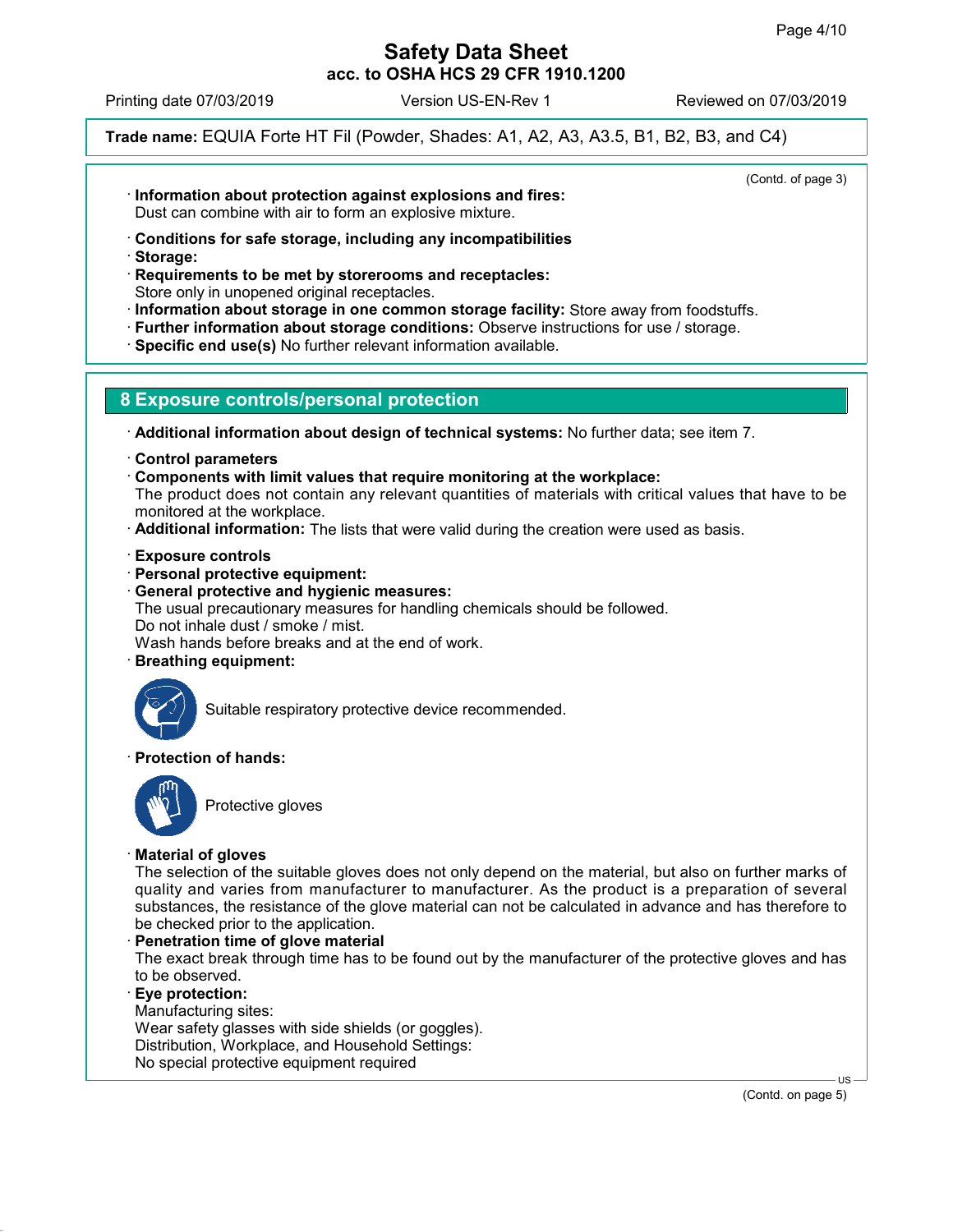(Contd. of page 3)

# Safety Data Sheet acc. to OSHA HCS 29 CFR 1910.1200

Printing date 07/03/2019 Version US-EN-Rev 1 Reviewed on 07/03/2019

Trade name: EQUIA Forte HT Fil (Powder, Shades: A1, A2, A3, A3.5, B1, B2, B3, and C4)

· Information about protection against explosions and fires:

Dust can combine with air to form an explosive mixture.

- · Conditions for safe storage, including any incompatibilities
- · Storage:

· Requirements to be met by storerooms and receptacles: Store only in unopened original receptacles.

- · Information about storage in one common storage facility: Store away from foodstuffs.
- · Further information about storage conditions: Observe instructions for use / storage.
- · Specific end use(s) No further relevant information available.

# 8 Exposure controls/personal protection

· Additional information about design of technical systems: No further data; see item 7.

- · Control parameters
- · Components with limit values that require monitoring at the workplace:
- The product does not contain any relevant quantities of materials with critical values that have to be monitored at the workplace.
- · Additional information: The lists that were valid during the creation were used as basis.
- · Exposure controls
- · Personal protective equipment:
- · General protective and hygienic measures:

The usual precautionary measures for handling chemicals should be followed. Do not inhale dust / smoke / mist.

Wash hands before breaks and at the end of work.

· Breathing equipment:



Suitable respiratory protective device recommended.

## · Protection of hands:



Protective gloves

## · Material of gloves

The selection of the suitable gloves does not only depend on the material, but also on further marks of quality and varies from manufacturer to manufacturer. As the product is a preparation of several substances, the resistance of the glove material can not be calculated in advance and has therefore to be checked prior to the application.

Penetration time of glove material

The exact break through time has to be found out by the manufacturer of the protective gloves and has to be observed.

· Eye protection:

Manufacturing sites:

Wear safety glasses with side shields (or goggles). Distribution, Workplace, and Household Settings: No special protective equipment required

(Contd. on page 5)

US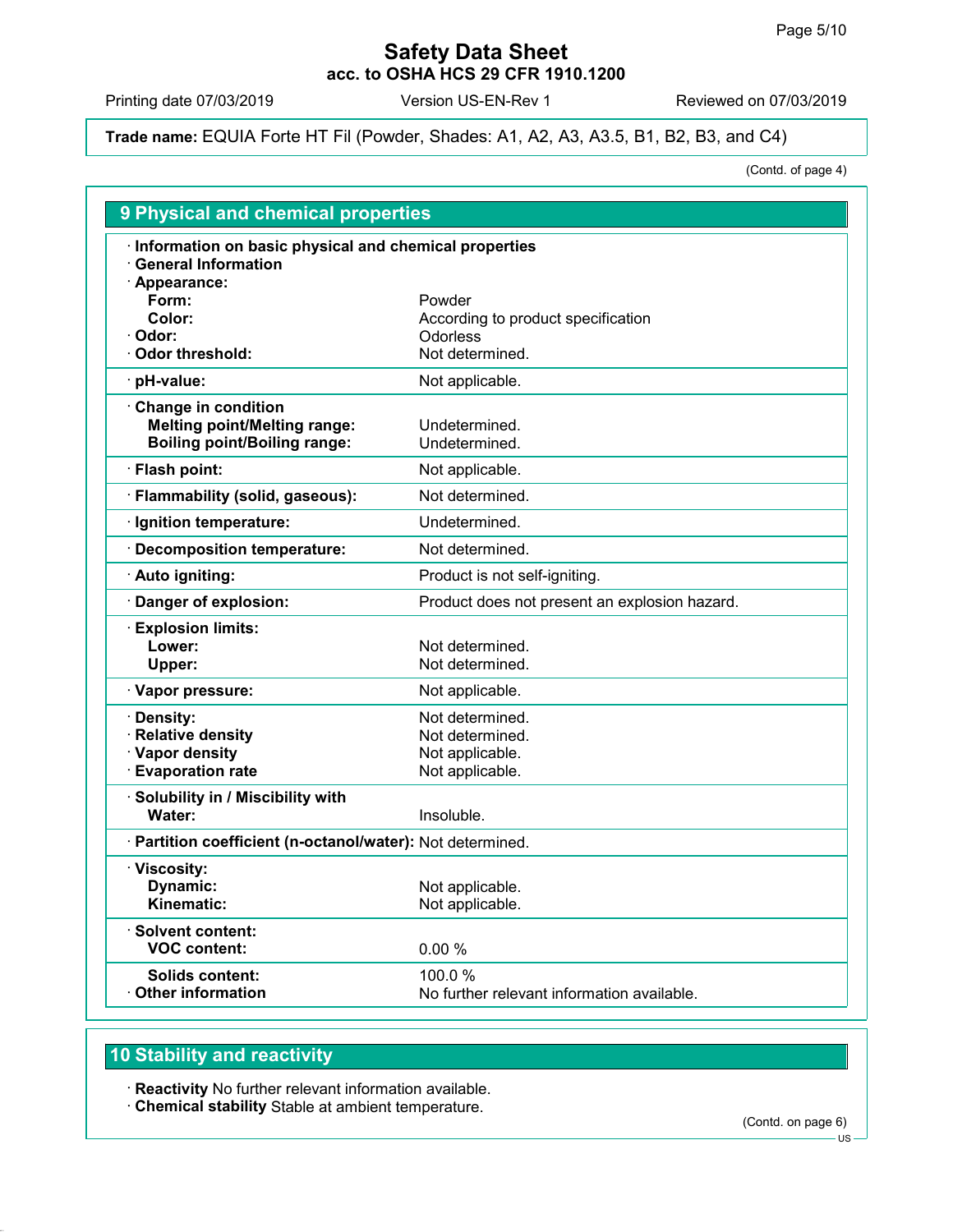Printing date 07/03/2019 Version US-EN-Rev 1 Reviewed on 07/03/2019

Trade name: EQUIA Forte HT Fil (Powder, Shades: A1, A2, A3, A3.5, B1, B2, B3, and C4)

(Contd. of page 4)

| <b>9 Physical and chemical properties</b>                                                         |                                                                          |
|---------------------------------------------------------------------------------------------------|--------------------------------------------------------------------------|
| · Information on basic physical and chemical properties<br>$\cdot$ General Information            |                                                                          |
| · Appearance:<br>Form:<br>Color:<br>· Odor:                                                       | Powder<br>According to product specification<br>Odorless                 |
| <b>Odor threshold:</b>                                                                            | Not determined.                                                          |
| · pH-value:                                                                                       | Not applicable.                                                          |
| Change in condition<br><b>Melting point/Melting range:</b><br><b>Boiling point/Boiling range:</b> | Undetermined.<br>Undetermined.                                           |
| · Flash point:                                                                                    | Not applicable.                                                          |
| · Flammability (solid, gaseous):                                                                  | Not determined.                                                          |
| · Ignition temperature:                                                                           | Undetermined.                                                            |
| · Decomposition temperature:                                                                      | Not determined.                                                          |
| · Auto igniting:                                                                                  | Product is not self-igniting.                                            |
| Danger of explosion:                                                                              | Product does not present an explosion hazard.                            |
| <b>Explosion limits:</b><br>Lower:<br>Upper:                                                      | Not determined.<br>Not determined.                                       |
| · Vapor pressure:                                                                                 | Not applicable.                                                          |
| · Density:<br>· Relative density<br>· Vapor density<br><b>Evaporation rate</b>                    | Not determined.<br>Not determined.<br>Not applicable.<br>Not applicable. |
| · Solubility in / Miscibility with<br>Water:                                                      | Insoluble.                                                               |
| · Partition coefficient (n-octanol/water): Not determined.                                        |                                                                          |
| · Viscosity:<br>Dynamic:<br>Kinematic:                                                            | Not applicable.<br>Not applicable.                                       |
| · Solvent content:<br><b>VOC content:</b>                                                         | 0.00 %                                                                   |
| Solids content:<br><b>Other information</b>                                                       | 100.0%<br>No further relevant information available.                     |

# 10 Stability and reactivity

· Reactivity No further relevant information available.

· Chemical stability Stable at ambient temperature.

(Contd. on page 6)

US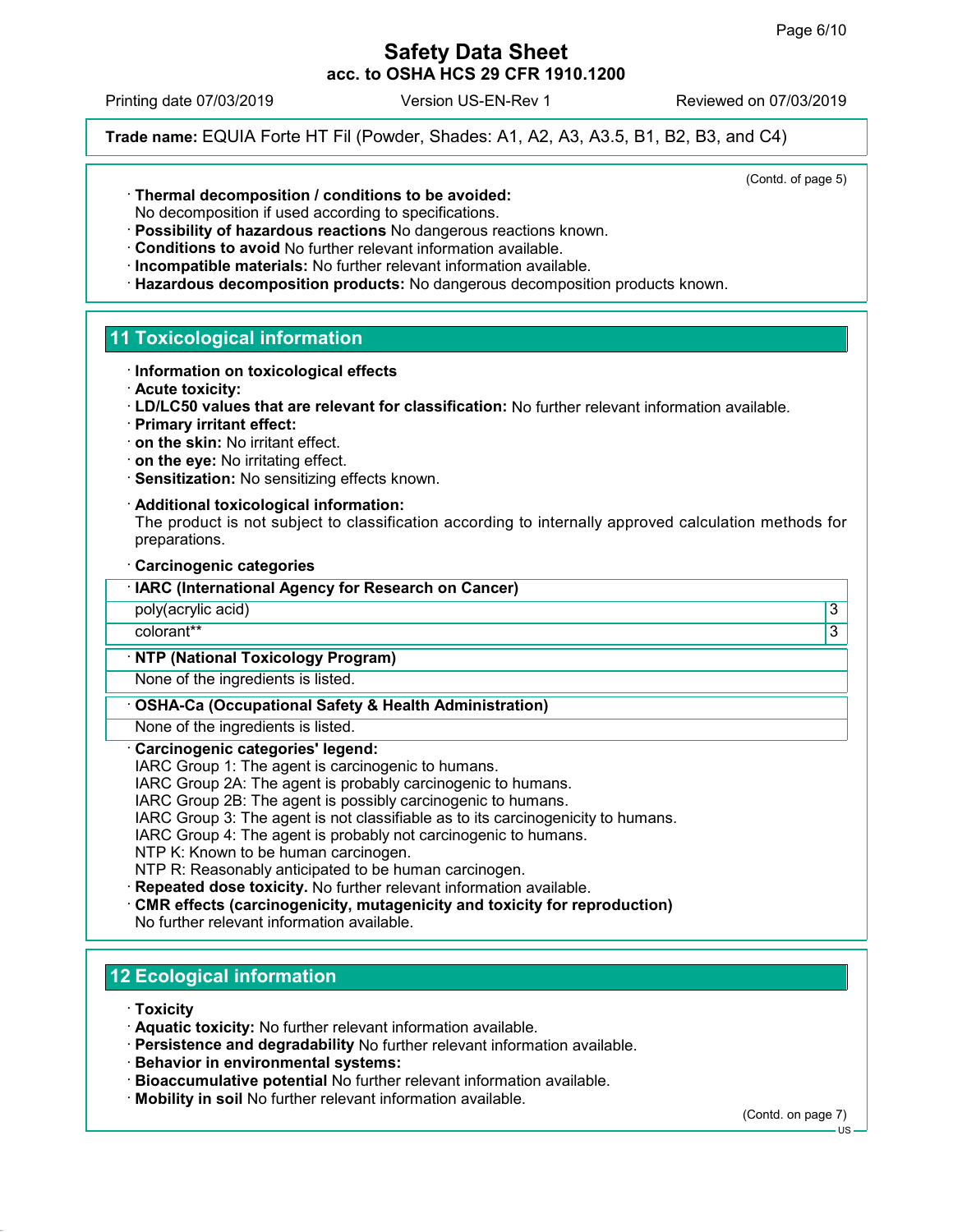Printing date 07/03/2019 Version US-EN-Rev 1 Reviewed on 07/03/2019

Trade name: EQUIA Forte HT Fil (Powder, Shades: A1, A2, A3, A3.5, B1, B2, B3, and C4)

(Contd. of page 5)

· Thermal decomposition / conditions to be avoided:

No decomposition if used according to specifications.

- · Possibility of hazardous reactions No dangerous reactions known.
- · Conditions to avoid No further relevant information available.
- · Incompatible materials: No further relevant information available.
- · Hazardous decomposition products: No dangerous decomposition products known.

### 11 Toxicological information

- · Information on toxicological effects
- · Acute toxicity:
- · LD/LC50 values that are relevant for classification: No further relevant information available.
- · Primary irritant effect:
- · on the skin: No irritant effect.
- · on the eye: No irritating effect.
- · Sensitization: No sensitizing effects known.
- · Additional toxicological information:

The product is not subject to classification according to internally approved calculation methods for preparations.

· Carcinogenic categories

| · IARC (International Agency for Research on Cancer) |  |
|------------------------------------------------------|--|
| poly(acrylic acid)                                   |  |

colorant\*\* 3

#### · NTP (National Toxicology Program)

None of the ingredients is listed.

#### · OSHA-Ca (Occupational Safety & Health Administration)

None of the ingredients is listed.

#### · Carcinogenic categories' legend:

IARC Group 1: The agent is carcinogenic to humans.

IARC Group 2A: The agent is probably carcinogenic to humans.

- IARC Group 2B: The agent is possibly carcinogenic to humans.
- IARC Group 3: The agent is not classifiable as to its carcinogenicity to humans.

IARC Group 4: The agent is probably not carcinogenic to humans.

NTP K: Known to be human carcinogen.

NTP R: Reasonably anticipated to be human carcinogen.

- · Repeated dose toxicity. No further relevant information available.
- · CMR effects (carcinogenicity, mutagenicity and toxicity for reproduction) No further relevant information available.

# 12 Ecological information

· Toxicity

- · Aquatic toxicity: No further relevant information available.
- · Persistence and degradability No further relevant information available.
- · Behavior in environmental systems:
- · Bioaccumulative potential No further relevant information available.
- · Mobility in soil No further relevant information available.

(Contd. on page 7)

US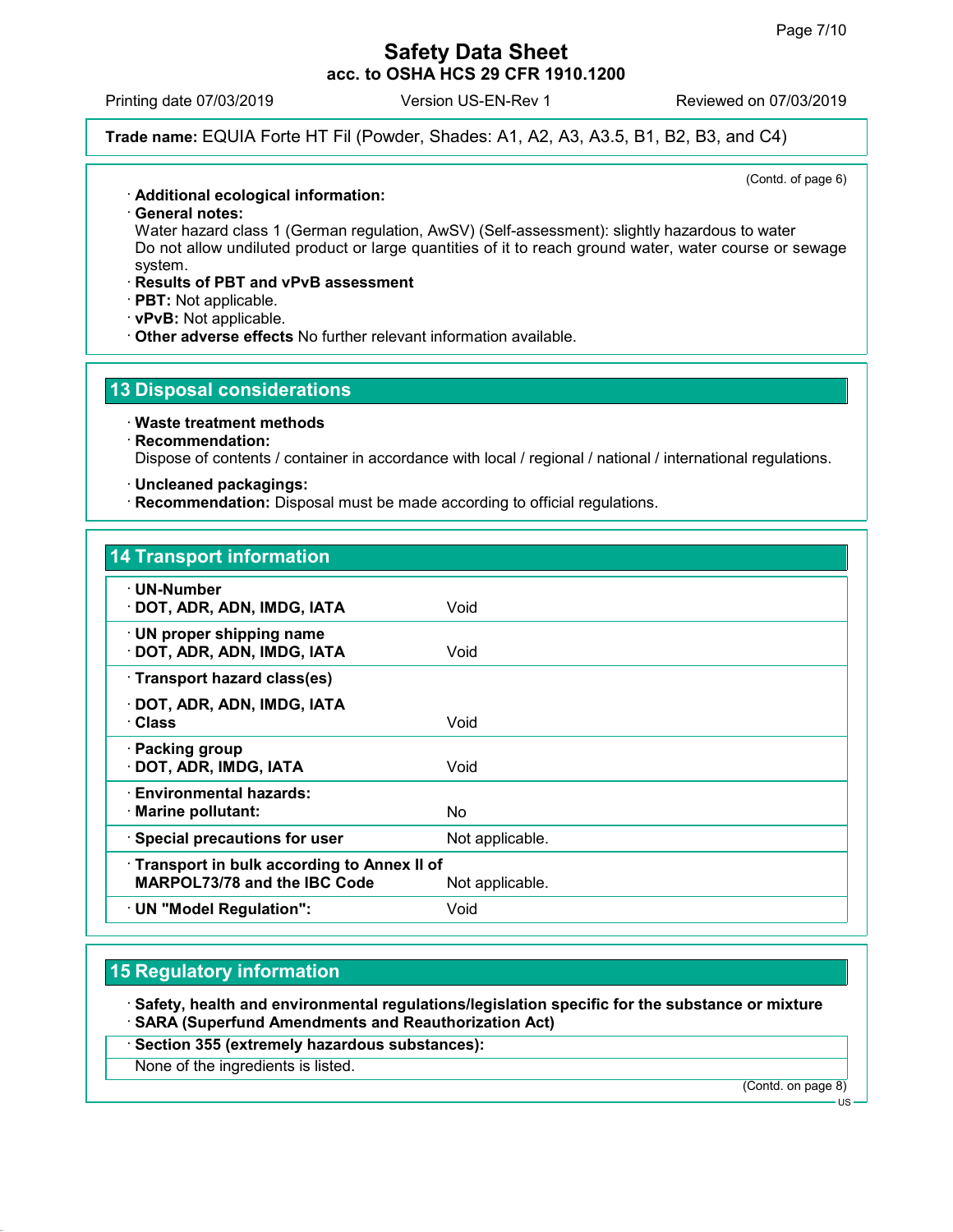Printing date 07/03/2019 Version US-EN-Rev 1 Reviewed on 07/03/2019

## Trade name: EQUIA Forte HT Fil (Powder, Shades: A1, A2, A3, A3.5, B1, B2, B3, and C4)

(Contd. of page 6)

#### · Additional ecological information:

· General notes:

Water hazard class 1 (German regulation, AwSV) (Self-assessment): slightly hazardous to water Do not allow undiluted product or large quantities of it to reach ground water, water course or sewage system.

#### · Results of PBT and vPvB assessment

· PBT: Not applicable.

· vPvB: Not applicable.

· Other adverse effects No further relevant information available.

## 13 Disposal considerations

#### · Waste treatment methods

## · Recommendation:

Dispose of contents / container in accordance with local / regional / national / international regulations.

#### · Uncleaned packagings:

· Recommendation: Disposal must be made according to official regulations.

#### 14 Transport information

| · UN-Number<br>· DOT, ADR, ADN, IMDG, IATA                                 | Void            |
|----------------------------------------------------------------------------|-----------------|
| · UN proper shipping name<br>DOT, ADR, ADN, IMDG, IATA                     | Void            |
| · Transport hazard class(es)                                               |                 |
| DOT, ADR, ADN, IMDG, IATA<br>· Class                                       | Void            |
| · Packing group<br>· DOT, ADR, IMDG, IATA                                  | Void            |
| · Environmental hazards:<br>· Marine pollutant:                            | No.             |
| · Special precautions for user                                             | Not applicable. |
| Transport in bulk according to Annex II of<br>MARPOL73/78 and the IBC Code | Not applicable. |
| · UN "Model Regulation":                                                   | Void            |

## 15 Regulatory information

· Safety, health and environmental regulations/legislation specific for the substance or mixture · SARA (Superfund Amendments and Reauthorization Act)

· Section 355 (extremely hazardous substances):

None of the ingredients is listed.

(Contd. on page 8)

US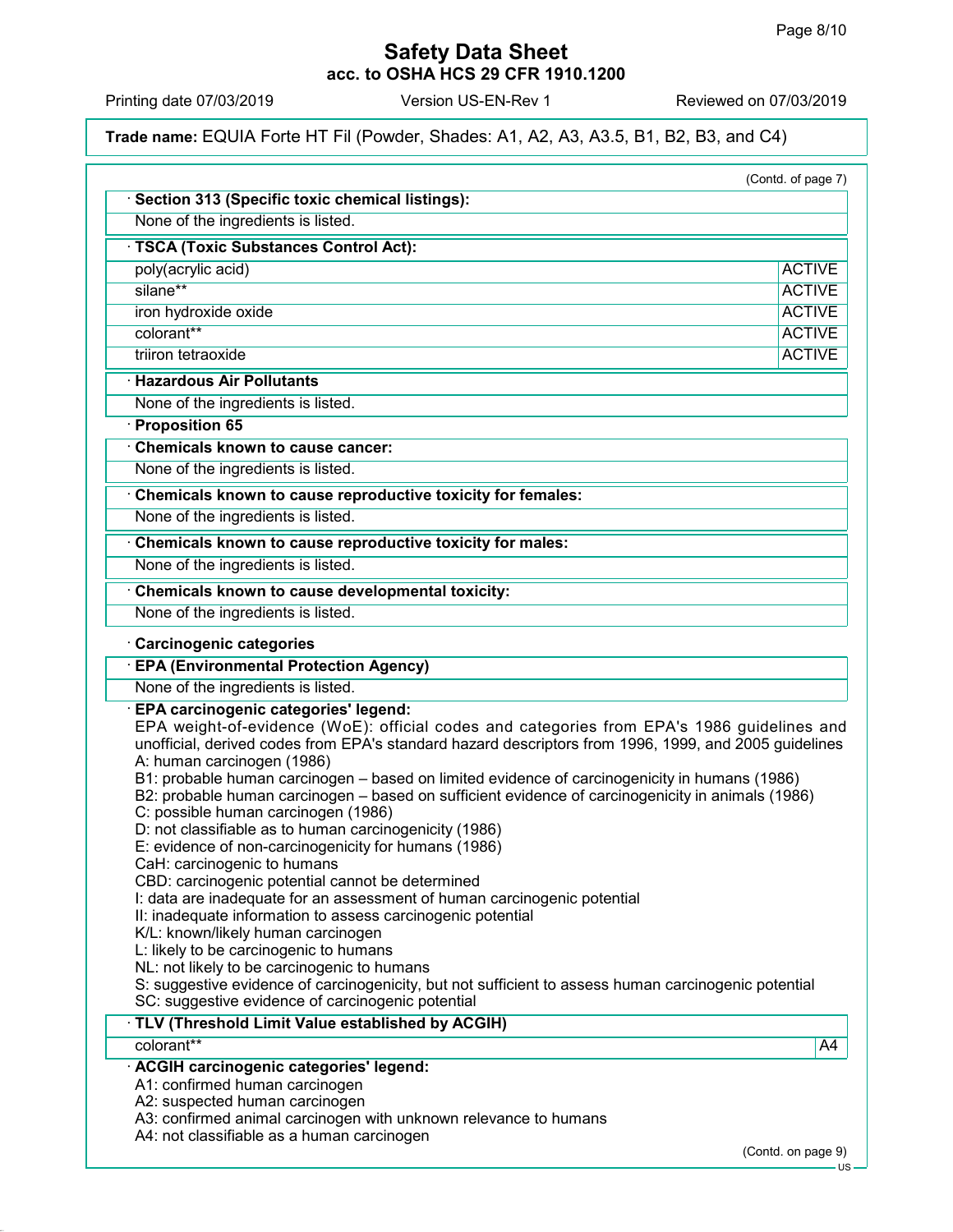Printing date 07/03/2019 Version US-EN-Rev 1 Reviewed on 07/03/2019

Trade name: EQUIA Forte HT Fil (Powder, Shades: A1, A2, A3, A3.5, B1, B2, B3, and C4)

| Section 313 (Specific toxic chemical listings):                                                                                                                                                                                                                                                                                                                                                                                                                                                                                                                                                                                                                                                                                                                                                                                                                                                                                                                                                                                                                                                                 |               |
|-----------------------------------------------------------------------------------------------------------------------------------------------------------------------------------------------------------------------------------------------------------------------------------------------------------------------------------------------------------------------------------------------------------------------------------------------------------------------------------------------------------------------------------------------------------------------------------------------------------------------------------------------------------------------------------------------------------------------------------------------------------------------------------------------------------------------------------------------------------------------------------------------------------------------------------------------------------------------------------------------------------------------------------------------------------------------------------------------------------------|---------------|
| None of the ingredients is listed.                                                                                                                                                                                                                                                                                                                                                                                                                                                                                                                                                                                                                                                                                                                                                                                                                                                                                                                                                                                                                                                                              |               |
| · TSCA (Toxic Substances Control Act):                                                                                                                                                                                                                                                                                                                                                                                                                                                                                                                                                                                                                                                                                                                                                                                                                                                                                                                                                                                                                                                                          |               |
| poly(acrylic acid)                                                                                                                                                                                                                                                                                                                                                                                                                                                                                                                                                                                                                                                                                                                                                                                                                                                                                                                                                                                                                                                                                              | <b>ACTIVE</b> |
| silane**                                                                                                                                                                                                                                                                                                                                                                                                                                                                                                                                                                                                                                                                                                                                                                                                                                                                                                                                                                                                                                                                                                        | <b>ACTIVE</b> |
| iron hydroxide oxide                                                                                                                                                                                                                                                                                                                                                                                                                                                                                                                                                                                                                                                                                                                                                                                                                                                                                                                                                                                                                                                                                            | <b>ACTIVE</b> |
| colorant**                                                                                                                                                                                                                                                                                                                                                                                                                                                                                                                                                                                                                                                                                                                                                                                                                                                                                                                                                                                                                                                                                                      | <b>ACTIVE</b> |
| triiron tetraoxide                                                                                                                                                                                                                                                                                                                                                                                                                                                                                                                                                                                                                                                                                                                                                                                                                                                                                                                                                                                                                                                                                              | <b>ACTIVE</b> |
| <b>· Hazardous Air Pollutants</b>                                                                                                                                                                                                                                                                                                                                                                                                                                                                                                                                                                                                                                                                                                                                                                                                                                                                                                                                                                                                                                                                               |               |
| None of the ingredients is listed.                                                                                                                                                                                                                                                                                                                                                                                                                                                                                                                                                                                                                                                                                                                                                                                                                                                                                                                                                                                                                                                                              |               |
| · Proposition 65                                                                                                                                                                                                                                                                                                                                                                                                                                                                                                                                                                                                                                                                                                                                                                                                                                                                                                                                                                                                                                                                                                |               |
| <b>Chemicals known to cause cancer:</b>                                                                                                                                                                                                                                                                                                                                                                                                                                                                                                                                                                                                                                                                                                                                                                                                                                                                                                                                                                                                                                                                         |               |
| None of the ingredients is listed.                                                                                                                                                                                                                                                                                                                                                                                                                                                                                                                                                                                                                                                                                                                                                                                                                                                                                                                                                                                                                                                                              |               |
| Chemicals known to cause reproductive toxicity for females:                                                                                                                                                                                                                                                                                                                                                                                                                                                                                                                                                                                                                                                                                                                                                                                                                                                                                                                                                                                                                                                     |               |
| None of the ingredients is listed.                                                                                                                                                                                                                                                                                                                                                                                                                                                                                                                                                                                                                                                                                                                                                                                                                                                                                                                                                                                                                                                                              |               |
| Chemicals known to cause reproductive toxicity for males:                                                                                                                                                                                                                                                                                                                                                                                                                                                                                                                                                                                                                                                                                                                                                                                                                                                                                                                                                                                                                                                       |               |
| None of the ingredients is listed.                                                                                                                                                                                                                                                                                                                                                                                                                                                                                                                                                                                                                                                                                                                                                                                                                                                                                                                                                                                                                                                                              |               |
| Chemicals known to cause developmental toxicity:                                                                                                                                                                                                                                                                                                                                                                                                                                                                                                                                                                                                                                                                                                                                                                                                                                                                                                                                                                                                                                                                |               |
| None of the ingredients is listed.                                                                                                                                                                                                                                                                                                                                                                                                                                                                                                                                                                                                                                                                                                                                                                                                                                                                                                                                                                                                                                                                              |               |
|                                                                                                                                                                                                                                                                                                                                                                                                                                                                                                                                                                                                                                                                                                                                                                                                                                                                                                                                                                                                                                                                                                                 |               |
| None of the ingredients is listed.                                                                                                                                                                                                                                                                                                                                                                                                                                                                                                                                                                                                                                                                                                                                                                                                                                                                                                                                                                                                                                                                              |               |
| · EPA carcinogenic categories' legend:<br>EPA weight-of-evidence (WoE): official codes and categories from EPA's 1986 guidelines and<br>unofficial, derived codes from EPA's standard hazard descriptors from 1996, 1999, and 2005 guidelines<br>A: human carcinogen (1986)<br>B1: probable human carcinogen - based on limited evidence of carcinogenicity in humans (1986)<br>B2: probable human carcinogen - based on sufficient evidence of carcinogenicity in animals (1986)<br>C: possible human carcinogen (1986)<br>D: not classifiable as to human carcinogenicity (1986)<br>E: evidence of non-carcinogenicity for humans (1986)<br>CaH: carcinogenic to humans<br>CBD: carcinogenic potential cannot be determined<br>I: data are inadequate for an assessment of human carcinogenic potential<br>II: inadequate information to assess carcinogenic potential<br>K/L: known/likely human carcinogen<br>L: likely to be carcinogenic to humans<br>NL: not likely to be carcinogenic to humans<br>S: suggestive evidence of carcinogenicity, but not sufficient to assess human carcinogenic potential |               |
|                                                                                                                                                                                                                                                                                                                                                                                                                                                                                                                                                                                                                                                                                                                                                                                                                                                                                                                                                                                                                                                                                                                 |               |
| SC: suggestive evidence of carcinogenic potential<br>TLV (Threshold Limit Value established by ACGIH)<br>colorant**                                                                                                                                                                                                                                                                                                                                                                                                                                                                                                                                                                                                                                                                                                                                                                                                                                                                                                                                                                                             |               |
|                                                                                                                                                                                                                                                                                                                                                                                                                                                                                                                                                                                                                                                                                                                                                                                                                                                                                                                                                                                                                                                                                                                 |               |
| · ACGIH carcinogenic categories' legend:<br>A1: confirmed human carcinogen                                                                                                                                                                                                                                                                                                                                                                                                                                                                                                                                                                                                                                                                                                                                                                                                                                                                                                                                                                                                                                      | A4            |
| A2: suspected human carcinogen<br>A3: confirmed animal carcinogen with unknown relevance to humans                                                                                                                                                                                                                                                                                                                                                                                                                                                                                                                                                                                                                                                                                                                                                                                                                                                                                                                                                                                                              |               |

- US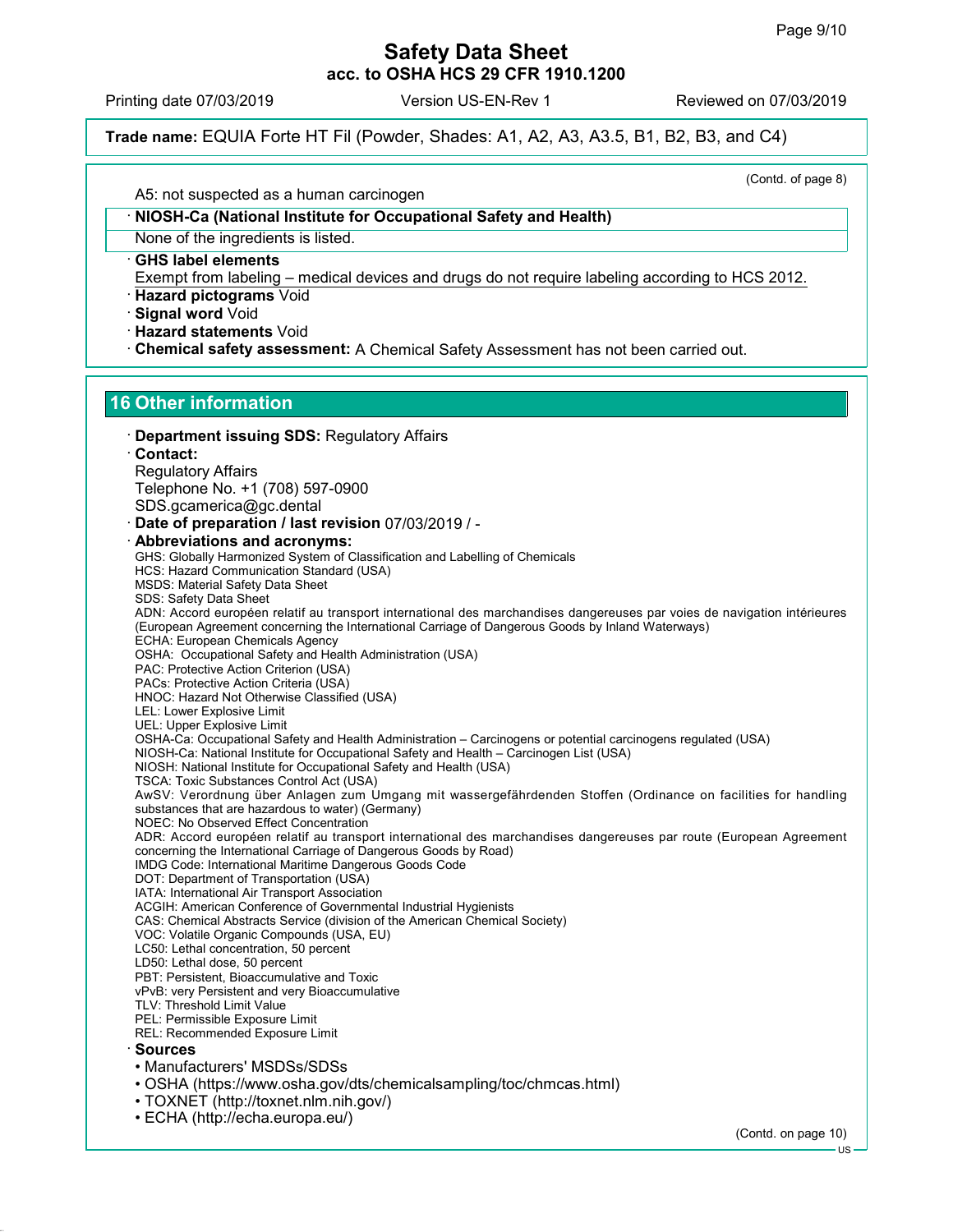Printing date 07/03/2019 Version US-EN-Rev 1 Reviewed on 07/03/2019

Trade name: EQUIA Forte HT Fil (Powder, Shades: A1, A2, A3, A3.5, B1, B2, B3, and C4)

(Contd. of page 8)

A5: not suspected as a human carcinogen

#### · NIOSH-Ca (National Institute for Occupational Safety and Health)

None of the ingredients is listed.

· GHS label elements

Exempt from labeling – medical devices and drugs do not require labeling according to HCS 2012.

· Hazard pictograms Void

- · Signal word Void
- · Hazard statements Void
- · Chemical safety assessment: A Chemical Safety Assessment has not been carried out.

#### 16 Other information

· Department issuing SDS: Regulatory Affairs · Contact: Regulatory Affairs Telephone No. +1 (708) 597-0900 SDS.gcamerica@gc.dental · Date of preparation / last revision 07/03/2019 / - · Abbreviations and acronyms: GHS: Globally Harmonized System of Classification and Labelling of Chemicals HCS: Hazard Communication Standard (USA) MSDS: Material Safety Data Sheet SDS: Safety Data Sheet ADN: Accord européen relatif au transport international des marchandises dangereuses par voies de navigation intérieures (European Agreement concerning the International Carriage of Dangerous Goods by Inland Waterways) ECHA: European Chemicals Agency OSHA: Occupational Safety and Health Administration (USA) PAC: Protective Action Criterion (USA) PACs: Protective Action Criteria (USA) HNOC: Hazard Not Otherwise Classified (USA) LEL: Lower Explosive Limit UEL: Upper Explosive Limit OSHA-Ca: Occupational Safety and Health Administration – Carcinogens or potential carcinogens regulated (USA) NIOSH-Ca: National Institute for Occupational Safety and Health – Carcinogen List (USA) NIOSH: National Institute for Occupational Safety and Health (USA) TSCA: Toxic Substances Control Act (USA) AwSV: Verordnung über Anlagen zum Umgang mit wassergefährdenden Stoffen (Ordinance on facilities for handling substances that are hazardous to water) (Germany) NOEC: No Observed Effect Concentration ADR: Accord européen relatif au transport international des marchandises dangereuses par route (European Agreement concerning the International Carriage of Dangerous Goods by Road) IMDG Code: International Maritime Dangerous Goods Code DOT: Department of Transportation (USA) IATA: International Air Transport Association ACGIH: American Conference of Governmental Industrial Hygienists CAS: Chemical Abstracts Service (division of the American Chemical Society) VOC: Volatile Organic Compounds (USA, EU) LC50: Lethal concentration, 50 percent LD50: Lethal dose, 50 percent PBT: Persistent, Bioaccumulative and Toxic vPvB: very Persistent and very Bioaccumulative TLV: Threshold Limit Value PEL: Permissible Exposure Limit REL: Recommended Exposure Limit · Sources • Manufacturers' MSDSs/SDSs • OSHA (https://www.osha.gov/dts/chemicalsampling/toc/chmcas.html) • TOXNET (http://toxnet.nlm.nih.gov/) • ECHA (http://echa.europa.eu/)

(Contd. on page 10)

US